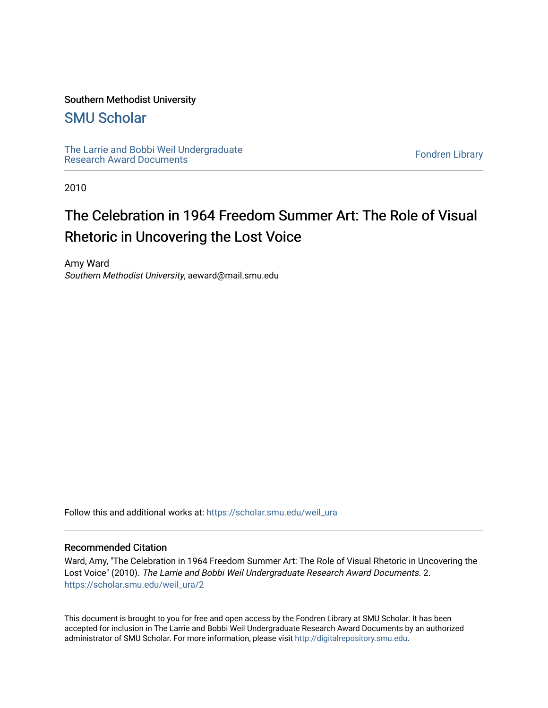#### Southern Methodist University

## [SMU Scholar](https://scholar.smu.edu/)

[The Larrie and Bobbi Weil Undergraduate](https://scholar.smu.edu/weil_ura) The Lattle and Bobbi wen Undergraduate<br>[Research Award Documents](https://scholar.smu.edu/weil_ura)

2010

# The Celebration in 1964 Freedom Summer Art: The Role of Visual Rhetoric in Uncovering the Lost Voice

Amy Ward Southern Methodist University, aeward@mail.smu.edu

Follow this and additional works at: [https://scholar.smu.edu/weil\\_ura](https://scholar.smu.edu/weil_ura?utm_source=scholar.smu.edu%2Fweil_ura%2F2&utm_medium=PDF&utm_campaign=PDFCoverPages)

#### Recommended Citation

Ward, Amy, "The Celebration in 1964 Freedom Summer Art: The Role of Visual Rhetoric in Uncovering the Lost Voice" (2010). The Larrie and Bobbi Weil Undergraduate Research Award Documents. 2. [https://scholar.smu.edu/weil\\_ura/2](https://scholar.smu.edu/weil_ura/2?utm_source=scholar.smu.edu%2Fweil_ura%2F2&utm_medium=PDF&utm_campaign=PDFCoverPages) 

This document is brought to you for free and open access by the Fondren Library at SMU Scholar. It has been accepted for inclusion in The Larrie and Bobbi Weil Undergraduate Research Award Documents by an authorized administrator of SMU Scholar. For more information, please visit [http://digitalrepository.smu.edu](http://digitalrepository.smu.edu/).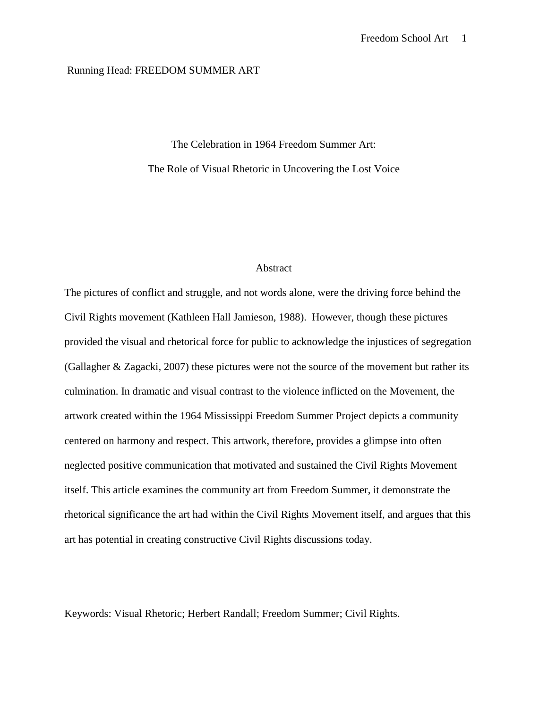#### Running Head: FREEDOM SUMMER ART

The Celebration in 1964 Freedom Summer Art: The Role of Visual Rhetoric in Uncovering the Lost Voice

#### Abstract

The pictures of conflict and struggle, and not words alone, were the driving force behind the Civil Rights movement (Kathleen Hall Jamieson, 1988). However, though these pictures provided the visual and rhetorical force for public to acknowledge the injustices of segregation (Gallagher & Zagacki, 2007) these pictures were not the source of the movement but rather its culmination. In dramatic and visual contrast to the violence inflicted on the Movement, the artwork created within the 1964 Mississippi Freedom Summer Project depicts a community centered on harmony and respect. This artwork, therefore, provides a glimpse into often neglected positive communication that motivated and sustained the Civil Rights Movement itself. This article examines the community art from Freedom Summer, it demonstrate the rhetorical significance the art had within the Civil Rights Movement itself, and argues that this art has potential in creating constructive Civil Rights discussions today.

Keywords: Visual Rhetoric; Herbert Randall; Freedom Summer; Civil Rights.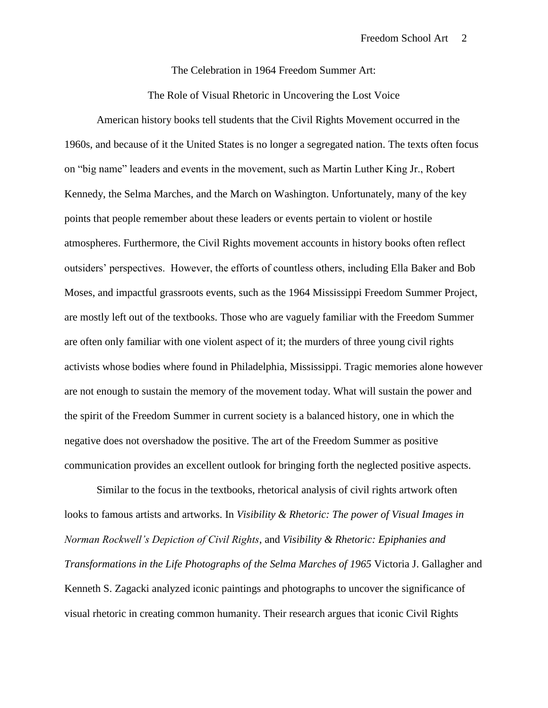The Celebration in 1964 Freedom Summer Art:

The Role of Visual Rhetoric in Uncovering the Lost Voice

American history books tell students that the Civil Rights Movement occurred in the 1960s, and because of it the United States is no longer a segregated nation. The texts often focus on "big name" leaders and events in the movement, such as Martin Luther King Jr., Robert Kennedy, the Selma Marches, and the March on Washington. Unfortunately, many of the key points that people remember about these leaders or events pertain to violent or hostile atmospheres. Furthermore, the Civil Rights movement accounts in history books often reflect outsiders" perspectives. However, the efforts of countless others, including Ella Baker and Bob Moses, and impactful grassroots events, such as the 1964 Mississippi Freedom Summer Project, are mostly left out of the textbooks. Those who are vaguely familiar with the Freedom Summer are often only familiar with one violent aspect of it; the murders of three young civil rights activists whose bodies where found in Philadelphia, Mississippi. Tragic memories alone however are not enough to sustain the memory of the movement today. What will sustain the power and the spirit of the Freedom Summer in current society is a balanced history, one in which the negative does not overshadow the positive. The art of the Freedom Summer as positive communication provides an excellent outlook for bringing forth the neglected positive aspects.

Similar to the focus in the textbooks, rhetorical analysis of civil rights artwork often looks to famous artists and artworks. In *Visibility & Rhetoric: The power of Visual Images in Norman Rockwell's Depiction of Civil Rights*, and *Visibility & Rhetoric: Epiphanies and Transformations in the Life Photographs of the Selma Marches of 1965* Victoria J. Gallagher and Kenneth S. Zagacki analyzed iconic paintings and photographs to uncover the significance of visual rhetoric in creating common humanity. Their research argues that iconic Civil Rights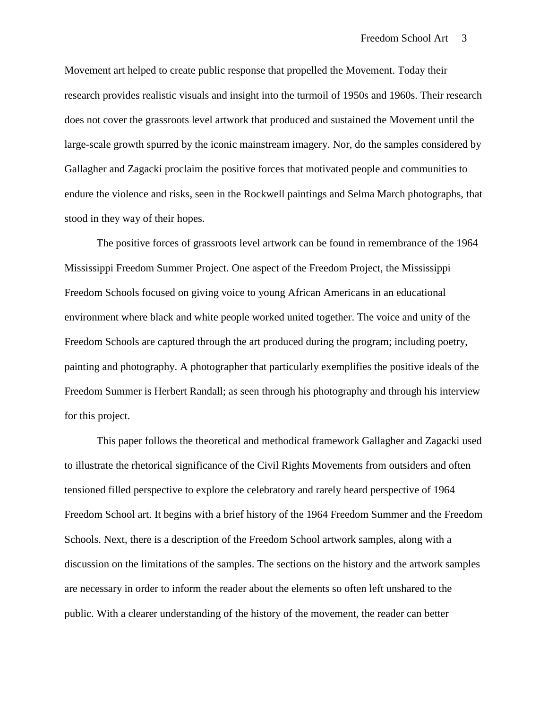Movement art helped to create public response that propelled the Movement. Today their research provides realistic visuals and insight into the turmoil of 1950s and 1960s. Their research does not cover the grassroots level artwork that produced and sustained the Movement until the large-scale growth spurred by the iconic mainstream imagery. Nor, do the samples considered by Gallagher and Zagacki proclaim the positive forces that motivated people and communities to endure the violence and risks, seen in the Rockwell paintings and Selma March photographs, that stood in they way of their hopes.

The positive forces of grassroots level artwork can be found in remembrance of the 1964 Mississippi Freedom Summer Project. One aspect of the Freedom Project, the Mississippi Freedom Schools focused on giving voice to young African Americans in an educational environment where black and white people worked united together. The voice and unity of the Freedom Schools are captured through the art produced during the program; including poetry, painting and photography. A photographer that particularly exemplifies the positive ideals of the Freedom Summer is Herbert Randall; as seen through his photography and through his interview for this project.

This paper follows the theoretical and methodical framework Gallagher and Zagacki used to illustrate the rhetorical significance of the Civil Rights Movements from outsiders and often tensioned filled perspective to explore the celebratory and rarely heard perspective of 1964 Freedom School art. It begins with a brief history of the 1964 Freedom Summer and the Freedom Schools. Next, there is a description of the Freedom School artwork samples, along with a discussion on the limitations of the samples. The sections on the history and the artwork samples are necessary in order to inform the reader about the elements so often left unshared to the public. With a clearer understanding of the history of the movement, the reader can better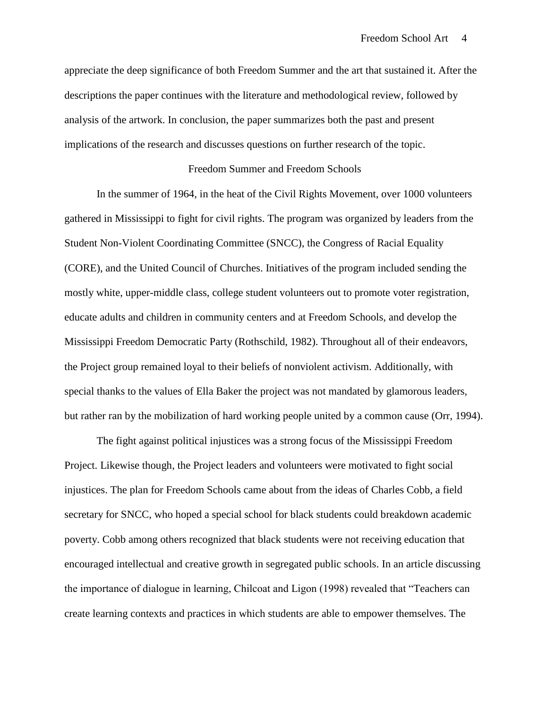appreciate the deep significance of both Freedom Summer and the art that sustained it. After the descriptions the paper continues with the literature and methodological review, followed by analysis of the artwork. In conclusion, the paper summarizes both the past and present implications of the research and discusses questions on further research of the topic.

#### Freedom Summer and Freedom Schools

In the summer of 1964, in the heat of the Civil Rights Movement, over 1000 volunteers gathered in Mississippi to fight for civil rights. The program was organized by leaders from the Student Non-Violent Coordinating Committee (SNCC), the Congress of Racial Equality (CORE), and the United Council of Churches. Initiatives of the program included sending the mostly white, upper-middle class, college student volunteers out to promote voter registration, educate adults and children in community centers and at Freedom Schools, and develop the Mississippi Freedom Democratic Party (Rothschild, 1982). Throughout all of their endeavors, the Project group remained loyal to their beliefs of nonviolent activism. Additionally, with special thanks to the values of Ella Baker the project was not mandated by glamorous leaders, but rather ran by the mobilization of hard working people united by a common cause (Orr, 1994).

The fight against political injustices was a strong focus of the Mississippi Freedom Project. Likewise though, the Project leaders and volunteers were motivated to fight social injustices. The plan for Freedom Schools came about from the ideas of Charles Cobb, a field secretary for SNCC, who hoped a special school for black students could breakdown academic poverty. Cobb among others recognized that black students were not receiving education that encouraged intellectual and creative growth in segregated public schools. In an article discussing the importance of dialogue in learning, Chilcoat and Ligon (1998) revealed that "Teachers can create learning contexts and practices in which students are able to empower themselves. The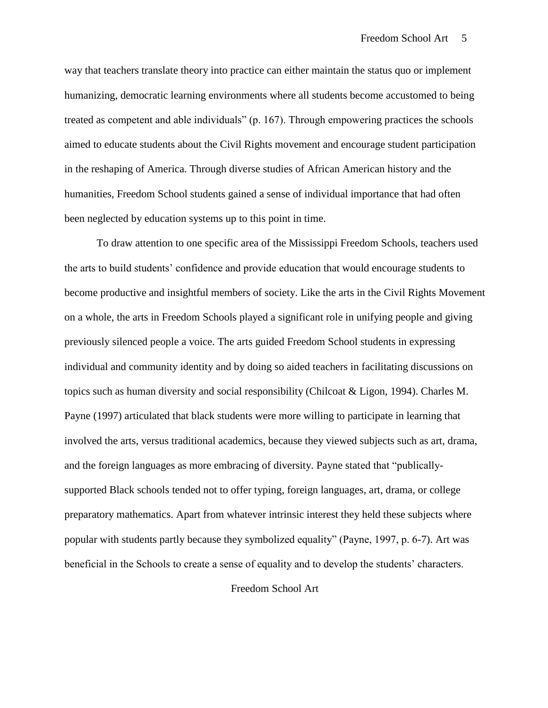way that teachers translate theory into practice can either maintain the status quo or implement humanizing, democratic learning environments where all students become accustomed to being treated as competent and able individuals" (p. 167). Through empowering practices the schools aimed to educate students about the Civil Rights movement and encourage student participation in the reshaping of America. Through diverse studies of African American history and the humanities, Freedom School students gained a sense of individual importance that had often been neglected by education systems up to this point in time.

To draw attention to one specific area of the Mississippi Freedom Schools, teachers used the arts to build students" confidence and provide education that would encourage students to become productive and insightful members of society. Like the arts in the Civil Rights Movement on a whole, the arts in Freedom Schools played a significant role in unifying people and giving previously silenced people a voice. The arts guided Freedom School students in expressing individual and community identity and by doing so aided teachers in facilitating discussions on topics such as human diversity and social responsibility (Chilcoat & Ligon, 1994). Charles M. Payne (1997) articulated that black students were more willing to participate in learning that involved the arts, versus traditional academics, because they viewed subjects such as art, drama, and the foreign languages as more embracing of diversity. Payne stated that "publicallysupported Black schools tended not to offer typing, foreign languages, art, drama, or college preparatory mathematics. Apart from whatever intrinsic interest they held these subjects where popular with students partly because they symbolized equality" (Payne, 1997, p. 6-7). Art was beneficial in the Schools to create a sense of equality and to develop the students" characters.

Freedom School Art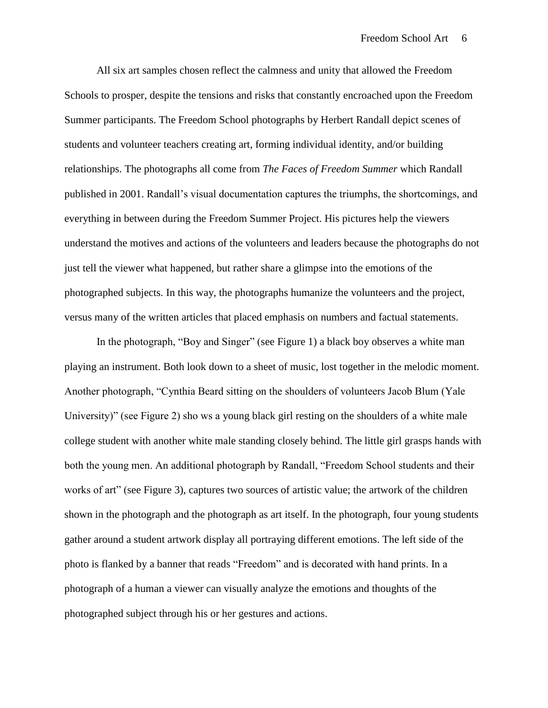All six art samples chosen reflect the calmness and unity that allowed the Freedom Schools to prosper, despite the tensions and risks that constantly encroached upon the Freedom Summer participants. The Freedom School photographs by Herbert Randall depict scenes of students and volunteer teachers creating art, forming individual identity, and/or building relationships. The photographs all come from *The Faces of Freedom Summer* which Randall published in 2001. Randall"s visual documentation captures the triumphs, the shortcomings, and everything in between during the Freedom Summer Project. His pictures help the viewers understand the motives and actions of the volunteers and leaders because the photographs do not just tell the viewer what happened, but rather share a glimpse into the emotions of the photographed subjects. In this way, the photographs humanize the volunteers and the project, versus many of the written articles that placed emphasis on numbers and factual statements.

In the photograph, "Boy and Singer" (see Figure 1) a black boy observes a white man playing an instrument. Both look down to a sheet of music, lost together in the melodic moment. Another photograph, "Cynthia Beard sitting on the shoulders of volunteers Jacob Blum (Yale University)" (see Figure 2) sho ws a young black girl resting on the shoulders of a white male college student with another white male standing closely behind. The little girl grasps hands with both the young men. An additional photograph by Randall, "Freedom School students and their works of art" (see Figure 3), captures two sources of artistic value; the artwork of the children shown in the photograph and the photograph as art itself. In the photograph, four young students gather around a student artwork display all portraying different emotions. The left side of the photo is flanked by a banner that reads "Freedom" and is decorated with hand prints. In a photograph of a human a viewer can visually analyze the emotions and thoughts of the photographed subject through his or her gestures and actions.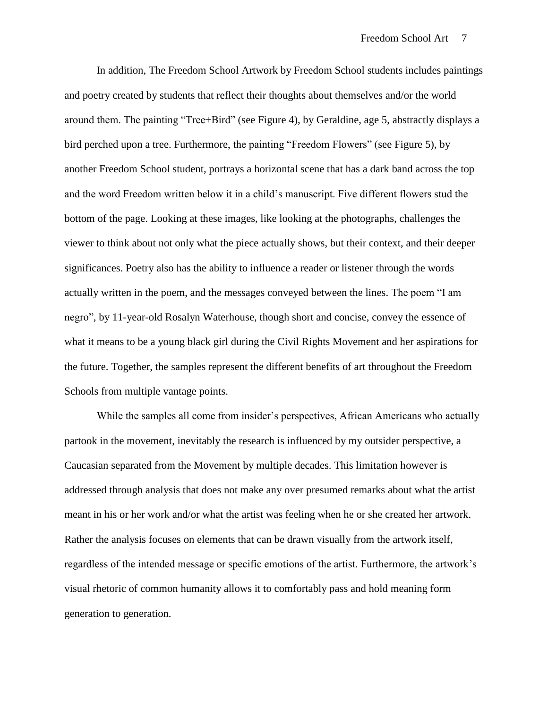In addition, The Freedom School Artwork by Freedom School students includes paintings and poetry created by students that reflect their thoughts about themselves and/or the world around them. The painting "Tree+Bird" (see Figure 4), by Geraldine, age 5, abstractly displays a bird perched upon a tree. Furthermore, the painting "Freedom Flowers" (see Figure 5), by another Freedom School student, portrays a horizontal scene that has a dark band across the top and the word Freedom written below it in a child"s manuscript. Five different flowers stud the bottom of the page. Looking at these images, like looking at the photographs, challenges the viewer to think about not only what the piece actually shows, but their context, and their deeper significances. Poetry also has the ability to influence a reader or listener through the words actually written in the poem, and the messages conveyed between the lines. The poem "I am negro", by 11-year-old Rosalyn Waterhouse, though short and concise, convey the essence of what it means to be a young black girl during the Civil Rights Movement and her aspirations for the future. Together, the samples represent the different benefits of art throughout the Freedom Schools from multiple vantage points.

While the samples all come from insider's perspectives, African Americans who actually partook in the movement, inevitably the research is influenced by my outsider perspective, a Caucasian separated from the Movement by multiple decades. This limitation however is addressed through analysis that does not make any over presumed remarks about what the artist meant in his or her work and/or what the artist was feeling when he or she created her artwork. Rather the analysis focuses on elements that can be drawn visually from the artwork itself, regardless of the intended message or specific emotions of the artist. Furthermore, the artwork"s visual rhetoric of common humanity allows it to comfortably pass and hold meaning form generation to generation.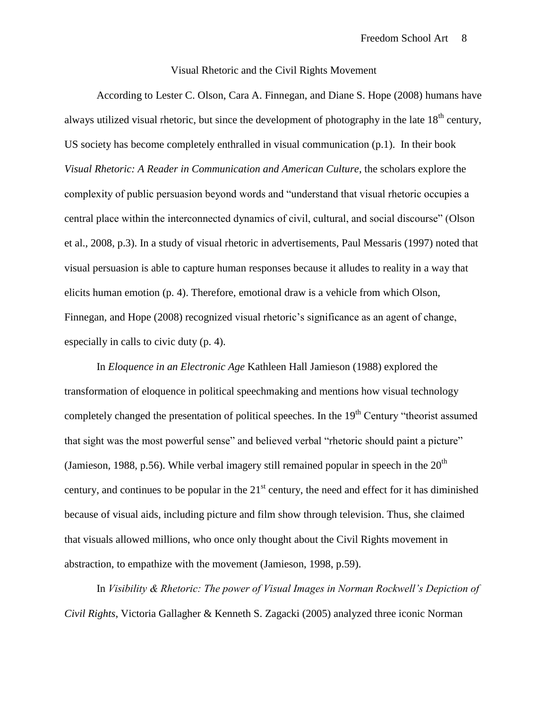#### Visual Rhetoric and the Civil Rights Movement

According to Lester C. Olson, Cara A. Finnegan, and Diane S. Hope (2008) humans have always utilized visual rhetoric, but since the development of photography in the late  $18<sup>th</sup>$  century, US society has become completely enthralled in visual communication (p.1). In their book *Visual Rhetoric: A Reader in Communication and American Culture*, the scholars explore the complexity of public persuasion beyond words and "understand that visual rhetoric occupies a central place within the interconnected dynamics of civil, cultural, and social discourse" (Olson et al., 2008, p.3). In a study of visual rhetoric in advertisements, Paul Messaris (1997) noted that visual persuasion is able to capture human responses because it alludes to reality in a way that elicits human emotion (p. 4). Therefore, emotional draw is a vehicle from which Olson, Finnegan, and Hope (2008) recognized visual rhetoric's significance as an agent of change, especially in calls to civic duty (p. 4).

In *Eloquence in an Electronic Age* Kathleen Hall Jamieson (1988) explored the transformation of eloquence in political speechmaking and mentions how visual technology completely changed the presentation of political speeches. In the 19<sup>th</sup> Century "theorist assumed that sight was the most powerful sense" and believed verbal "rhetoric should paint a picture" (Jamieson, 1988, p.56). While verbal imagery still remained popular in speech in the  $20<sup>th</sup>$ century, and continues to be popular in the  $21<sup>st</sup>$  century, the need and effect for it has diminished because of visual aids, including picture and film show through television. Thus, she claimed that visuals allowed millions, who once only thought about the Civil Rights movement in abstraction, to empathize with the movement (Jamieson, 1998, p.59).

In *Visibility & Rhetoric: The power of Visual Images in Norman Rockwell's Depiction of Civil Rights*, Victoria Gallagher & Kenneth S. Zagacki (2005) analyzed three iconic Norman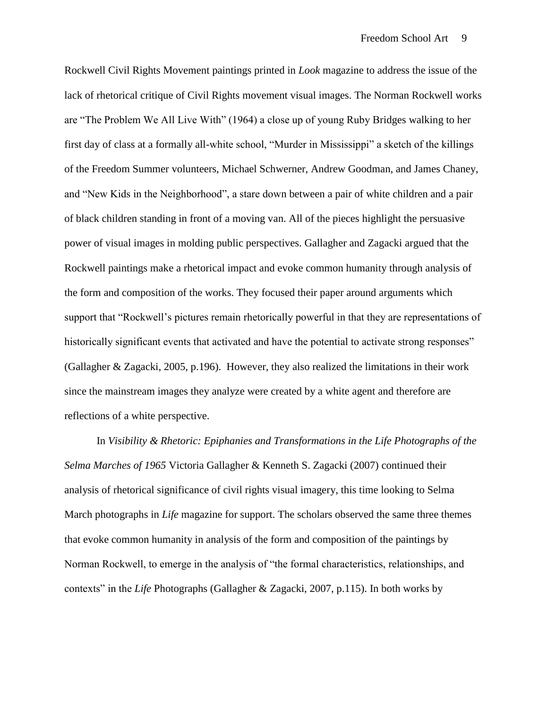Rockwell Civil Rights Movement paintings printed in *Look* magazine to address the issue of the lack of rhetorical critique of Civil Rights movement visual images. The Norman Rockwell works are "The Problem We All Live With" (1964) a close up of young Ruby Bridges walking to her first day of class at a formally all-white school, "Murder in Mississippi" a sketch of the killings of the Freedom Summer volunteers, Michael Schwerner, Andrew Goodman, and James Chaney, and "New Kids in the Neighborhood", a stare down between a pair of white children and a pair of black children standing in front of a moving van. All of the pieces highlight the persuasive power of visual images in molding public perspectives. Gallagher and Zagacki argued that the Rockwell paintings make a rhetorical impact and evoke common humanity through analysis of the form and composition of the works. They focused their paper around arguments which support that "Rockwell's pictures remain rhetorically powerful in that they are representations of historically significant events that activated and have the potential to activate strong responses" (Gallagher & Zagacki, 2005, p.196). However, they also realized the limitations in their work since the mainstream images they analyze were created by a white agent and therefore are reflections of a white perspective.

In *Visibility & Rhetoric: Epiphanies and Transformations in the Life Photographs of the Selma Marches of 1965* Victoria Gallagher & Kenneth S. Zagacki (2007) continued their analysis of rhetorical significance of civil rights visual imagery, this time looking to Selma March photographs in *Life* magazine for support. The scholars observed the same three themes that evoke common humanity in analysis of the form and composition of the paintings by Norman Rockwell, to emerge in the analysis of "the formal characteristics, relationships, and contexts" in the *Life* Photographs (Gallagher & Zagacki, 2007, p.115). In both works by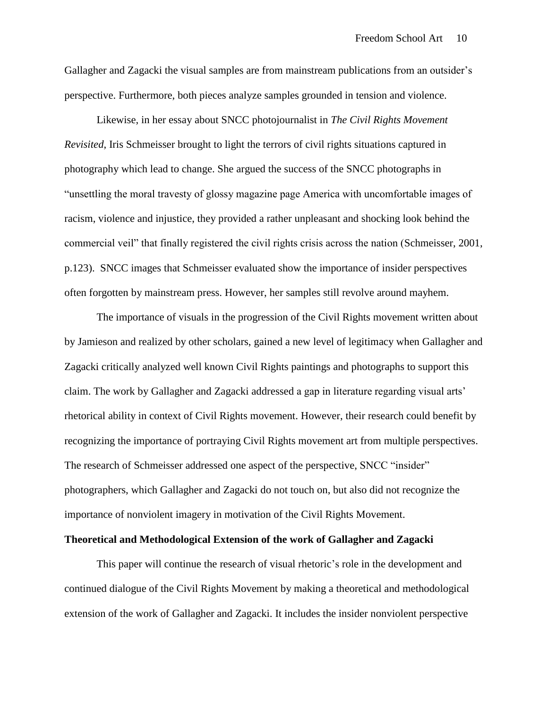Gallagher and Zagacki the visual samples are from mainstream publications from an outsider"s perspective. Furthermore, both pieces analyze samples grounded in tension and violence.

Likewise, in her essay about SNCC photojournalist in *The Civil Rights Movement Revisited*, Iris Schmeisser brought to light the terrors of civil rights situations captured in photography which lead to change. She argued the success of the SNCC photographs in "unsettling the moral travesty of glossy magazine page America with uncomfortable images of racism, violence and injustice, they provided a rather unpleasant and shocking look behind the commercial veil" that finally registered the civil rights crisis across the nation (Schmeisser, 2001, p.123). SNCC images that Schmeisser evaluated show the importance of insider perspectives often forgotten by mainstream press. However, her samples still revolve around mayhem.

The importance of visuals in the progression of the Civil Rights movement written about by Jamieson and realized by other scholars, gained a new level of legitimacy when Gallagher and Zagacki critically analyzed well known Civil Rights paintings and photographs to support this claim. The work by Gallagher and Zagacki addressed a gap in literature regarding visual arts" rhetorical ability in context of Civil Rights movement. However, their research could benefit by recognizing the importance of portraying Civil Rights movement art from multiple perspectives. The research of Schmeisser addressed one aspect of the perspective, SNCC "insider" photographers, which Gallagher and Zagacki do not touch on, but also did not recognize the importance of nonviolent imagery in motivation of the Civil Rights Movement.

#### **Theoretical and Methodological Extension of the work of Gallagher and Zagacki**

This paper will continue the research of visual rhetoric's role in the development and continued dialogue of the Civil Rights Movement by making a theoretical and methodological extension of the work of Gallagher and Zagacki. It includes the insider nonviolent perspective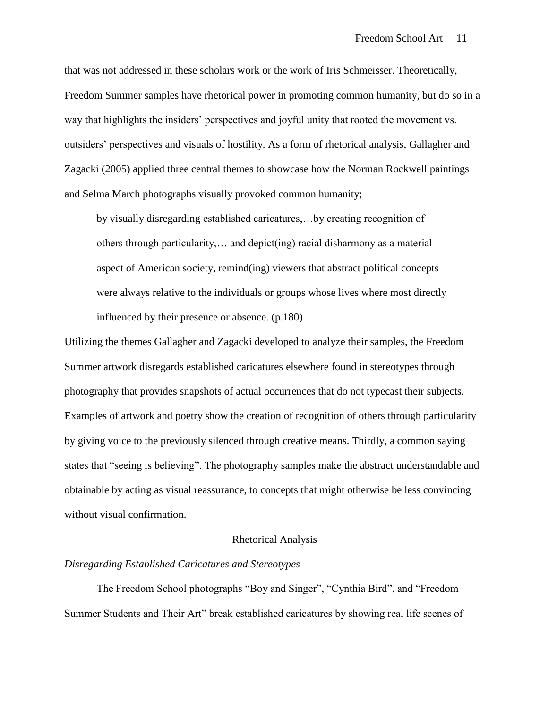that was not addressed in these scholars work or the work of Iris Schmeisser. Theoretically, Freedom Summer samples have rhetorical power in promoting common humanity, but do so in a way that highlights the insiders" perspectives and joyful unity that rooted the movement vs. outsiders" perspectives and visuals of hostility. As a form of rhetorical analysis, Gallagher and Zagacki (2005) applied three central themes to showcase how the Norman Rockwell paintings and Selma March photographs visually provoked common humanity;

by visually disregarding established caricatures,…by creating recognition of others through particularity,… and depict(ing) racial disharmony as a material aspect of American society, remind(ing) viewers that abstract political concepts were always relative to the individuals or groups whose lives where most directly influenced by their presence or absence. (p.180)

Utilizing the themes Gallagher and Zagacki developed to analyze their samples, the Freedom Summer artwork disregards established caricatures elsewhere found in stereotypes through photography that provides snapshots of actual occurrences that do not typecast their subjects. Examples of artwork and poetry show the creation of recognition of others through particularity by giving voice to the previously silenced through creative means. Thirdly, a common saying states that "seeing is believing". The photography samples make the abstract understandable and obtainable by acting as visual reassurance, to concepts that might otherwise be less convincing without visual confirmation.

#### Rhetorical Analysis

#### *Disregarding Established Caricatures and Stereotypes*

The Freedom School photographs "Boy and Singer", "Cynthia Bird", and "Freedom Summer Students and Their Art" break established caricatures by showing real life scenes of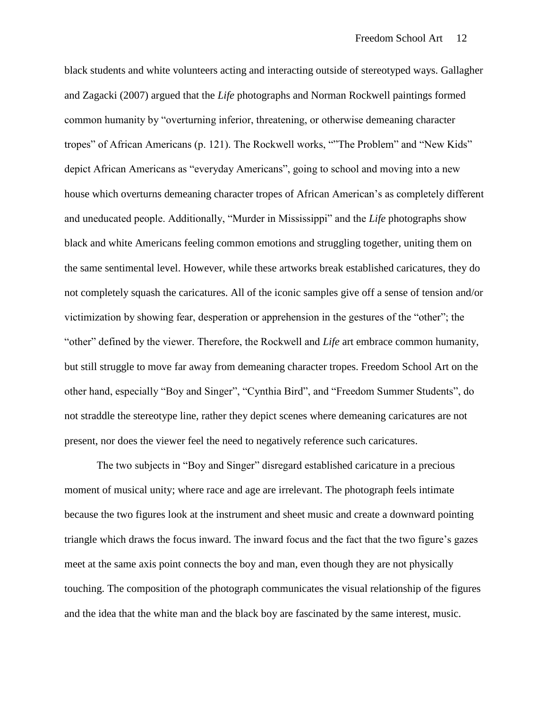black students and white volunteers acting and interacting outside of stereotyped ways. Gallagher and Zagacki (2007) argued that the *Life* photographs and Norman Rockwell paintings formed common humanity by "overturning inferior, threatening, or otherwise demeaning character tropes" of African Americans (p. 121). The Rockwell works, ""The Problem" and "New Kids" depict African Americans as "everyday Americans", going to school and moving into a new house which overturns demeaning character tropes of African American's as completely different and uneducated people. Additionally, "Murder in Mississippi" and the *Life* photographs show black and white Americans feeling common emotions and struggling together, uniting them on the same sentimental level. However, while these artworks break established caricatures, they do not completely squash the caricatures. All of the iconic samples give off a sense of tension and/or victimization by showing fear, desperation or apprehension in the gestures of the "other"; the "other" defined by the viewer. Therefore, the Rockwell and *Life* art embrace common humanity, but still struggle to move far away from demeaning character tropes. Freedom School Art on the other hand, especially "Boy and Singer", "Cynthia Bird", and "Freedom Summer Students", do not straddle the stereotype line, rather they depict scenes where demeaning caricatures are not present, nor does the viewer feel the need to negatively reference such caricatures.

The two subjects in "Boy and Singer" disregard established caricature in a precious moment of musical unity; where race and age are irrelevant. The photograph feels intimate because the two figures look at the instrument and sheet music and create a downward pointing triangle which draws the focus inward. The inward focus and the fact that the two figure"s gazes meet at the same axis point connects the boy and man, even though they are not physically touching. The composition of the photograph communicates the visual relationship of the figures and the idea that the white man and the black boy are fascinated by the same interest, music.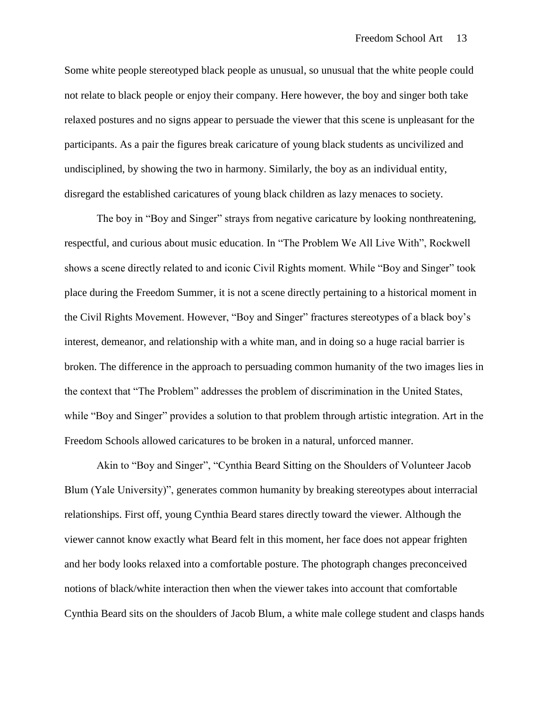Some white people stereotyped black people as unusual, so unusual that the white people could not relate to black people or enjoy their company. Here however, the boy and singer both take relaxed postures and no signs appear to persuade the viewer that this scene is unpleasant for the participants. As a pair the figures break caricature of young black students as uncivilized and undisciplined, by showing the two in harmony. Similarly, the boy as an individual entity, disregard the established caricatures of young black children as lazy menaces to society.

The boy in "Boy and Singer" strays from negative caricature by looking nonthreatening, respectful, and curious about music education. In "The Problem We All Live With", Rockwell shows a scene directly related to and iconic Civil Rights moment. While "Boy and Singer" took place during the Freedom Summer, it is not a scene directly pertaining to a historical moment in the Civil Rights Movement. However, "Boy and Singer" fractures stereotypes of a black boy"s interest, demeanor, and relationship with a white man, and in doing so a huge racial barrier is broken. The difference in the approach to persuading common humanity of the two images lies in the context that "The Problem" addresses the problem of discrimination in the United States, while "Boy and Singer" provides a solution to that problem through artistic integration. Art in the Freedom Schools allowed caricatures to be broken in a natural, unforced manner.

Akin to "Boy and Singer", "Cynthia Beard Sitting on the Shoulders of Volunteer Jacob Blum (Yale University)", generates common humanity by breaking stereotypes about interracial relationships. First off, young Cynthia Beard stares directly toward the viewer. Although the viewer cannot know exactly what Beard felt in this moment, her face does not appear frighten and her body looks relaxed into a comfortable posture. The photograph changes preconceived notions of black/white interaction then when the viewer takes into account that comfortable Cynthia Beard sits on the shoulders of Jacob Blum, a white male college student and clasps hands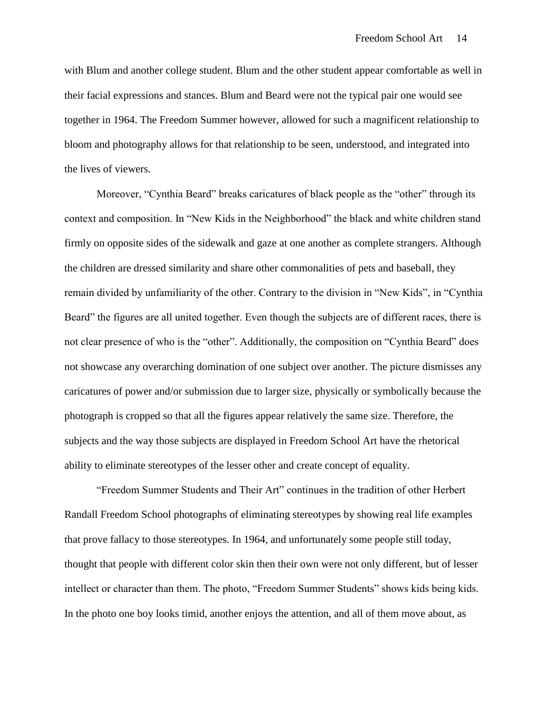with Blum and another college student. Blum and the other student appear comfortable as well in their facial expressions and stances. Blum and Beard were not the typical pair one would see together in 1964. The Freedom Summer however, allowed for such a magnificent relationship to bloom and photography allows for that relationship to be seen, understood, and integrated into the lives of viewers.

Moreover, "Cynthia Beard" breaks caricatures of black people as the "other" through its context and composition. In "New Kids in the Neighborhood" the black and white children stand firmly on opposite sides of the sidewalk and gaze at one another as complete strangers. Although the children are dressed similarity and share other commonalities of pets and baseball, they remain divided by unfamiliarity of the other. Contrary to the division in "New Kids", in "Cynthia Beard" the figures are all united together. Even though the subjects are of different races, there is not clear presence of who is the "other". Additionally, the composition on "Cynthia Beard" does not showcase any overarching domination of one subject over another. The picture dismisses any caricatures of power and/or submission due to larger size, physically or symbolically because the photograph is cropped so that all the figures appear relatively the same size. Therefore, the subjects and the way those subjects are displayed in Freedom School Art have the rhetorical ability to eliminate stereotypes of the lesser other and create concept of equality.

"Freedom Summer Students and Their Art" continues in the tradition of other Herbert Randall Freedom School photographs of eliminating stereotypes by showing real life examples that prove fallacy to those stereotypes. In 1964, and unfortunately some people still today, thought that people with different color skin then their own were not only different, but of lesser intellect or character than them. The photo, "Freedom Summer Students" shows kids being kids. In the photo one boy looks timid, another enjoys the attention, and all of them move about, as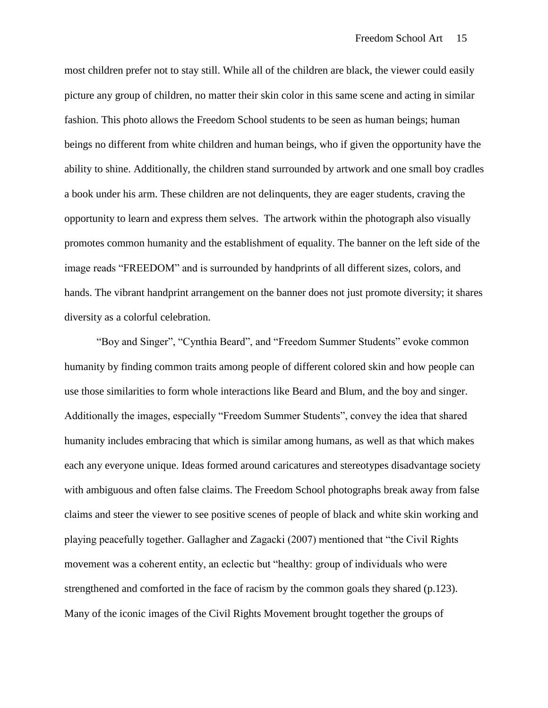most children prefer not to stay still. While all of the children are black, the viewer could easily picture any group of children, no matter their skin color in this same scene and acting in similar fashion. This photo allows the Freedom School students to be seen as human beings; human beings no different from white children and human beings, who if given the opportunity have the ability to shine. Additionally, the children stand surrounded by artwork and one small boy cradles a book under his arm. These children are not delinquents, they are eager students, craving the opportunity to learn and express them selves. The artwork within the photograph also visually promotes common humanity and the establishment of equality. The banner on the left side of the image reads "FREEDOM" and is surrounded by handprints of all different sizes, colors, and hands. The vibrant handprint arrangement on the banner does not just promote diversity; it shares diversity as a colorful celebration.

"Boy and Singer", "Cynthia Beard", and "Freedom Summer Students" evoke common humanity by finding common traits among people of different colored skin and how people can use those similarities to form whole interactions like Beard and Blum, and the boy and singer. Additionally the images, especially "Freedom Summer Students", convey the idea that shared humanity includes embracing that which is similar among humans, as well as that which makes each any everyone unique. Ideas formed around caricatures and stereotypes disadvantage society with ambiguous and often false claims. The Freedom School photographs break away from false claims and steer the viewer to see positive scenes of people of black and white skin working and playing peacefully together. Gallagher and Zagacki (2007) mentioned that "the Civil Rights movement was a coherent entity, an eclectic but "healthy: group of individuals who were strengthened and comforted in the face of racism by the common goals they shared (p.123). Many of the iconic images of the Civil Rights Movement brought together the groups of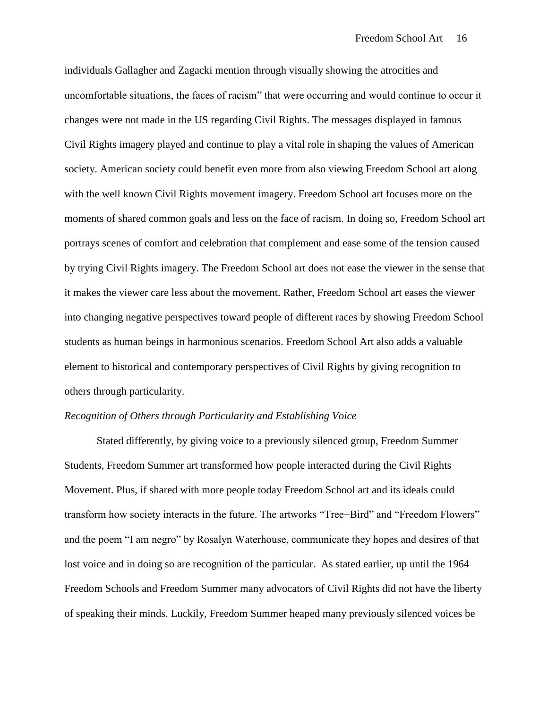individuals Gallagher and Zagacki mention through visually showing the atrocities and uncomfortable situations, the faces of racism" that were occurring and would continue to occur it changes were not made in the US regarding Civil Rights. The messages displayed in famous Civil Rights imagery played and continue to play a vital role in shaping the values of American society. American society could benefit even more from also viewing Freedom School art along with the well known Civil Rights movement imagery. Freedom School art focuses more on the moments of shared common goals and less on the face of racism. In doing so, Freedom School art portrays scenes of comfort and celebration that complement and ease some of the tension caused by trying Civil Rights imagery. The Freedom School art does not ease the viewer in the sense that it makes the viewer care less about the movement. Rather, Freedom School art eases the viewer into changing negative perspectives toward people of different races by showing Freedom School students as human beings in harmonious scenarios. Freedom School Art also adds a valuable element to historical and contemporary perspectives of Civil Rights by giving recognition to others through particularity.

#### *Recognition of Others through Particularity and Establishing Voice*

Stated differently, by giving voice to a previously silenced group, Freedom Summer Students, Freedom Summer art transformed how people interacted during the Civil Rights Movement. Plus, if shared with more people today Freedom School art and its ideals could transform how society interacts in the future. The artworks "Tree+Bird" and "Freedom Flowers" and the poem "I am negro" by Rosalyn Waterhouse, communicate they hopes and desires of that lost voice and in doing so are recognition of the particular. As stated earlier, up until the 1964 Freedom Schools and Freedom Summer many advocators of Civil Rights did not have the liberty of speaking their minds. Luckily, Freedom Summer heaped many previously silenced voices be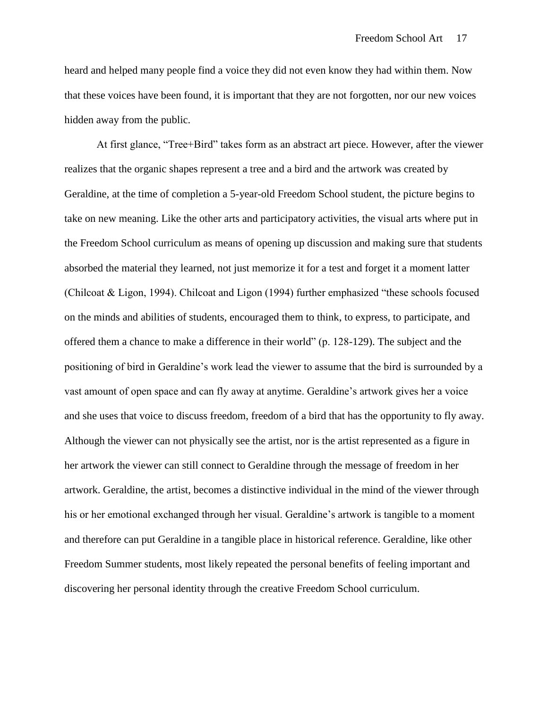heard and helped many people find a voice they did not even know they had within them. Now that these voices have been found, it is important that they are not forgotten, nor our new voices hidden away from the public.

At first glance, "Tree+Bird" takes form as an abstract art piece. However, after the viewer realizes that the organic shapes represent a tree and a bird and the artwork was created by Geraldine, at the time of completion a 5-year-old Freedom School student, the picture begins to take on new meaning. Like the other arts and participatory activities, the visual arts where put in the Freedom School curriculum as means of opening up discussion and making sure that students absorbed the material they learned, not just memorize it for a test and forget it a moment latter (Chilcoat & Ligon, 1994). Chilcoat and Ligon (1994) further emphasized "these schools focused on the minds and abilities of students, encouraged them to think, to express, to participate, and offered them a chance to make a difference in their world" (p. 128-129). The subject and the positioning of bird in Geraldine"s work lead the viewer to assume that the bird is surrounded by a vast amount of open space and can fly away at anytime. Geraldine"s artwork gives her a voice and she uses that voice to discuss freedom, freedom of a bird that has the opportunity to fly away. Although the viewer can not physically see the artist, nor is the artist represented as a figure in her artwork the viewer can still connect to Geraldine through the message of freedom in her artwork. Geraldine, the artist, becomes a distinctive individual in the mind of the viewer through his or her emotional exchanged through her visual. Geraldine"s artwork is tangible to a moment and therefore can put Geraldine in a tangible place in historical reference. Geraldine, like other Freedom Summer students, most likely repeated the personal benefits of feeling important and discovering her personal identity through the creative Freedom School curriculum.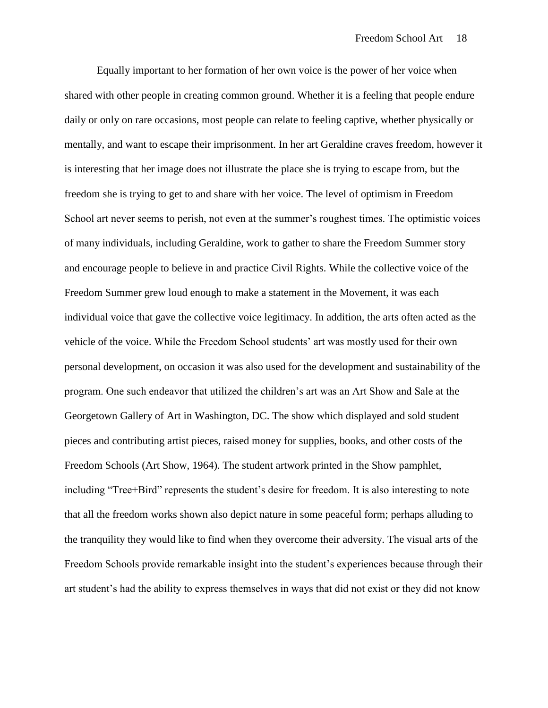Equally important to her formation of her own voice is the power of her voice when shared with other people in creating common ground. Whether it is a feeling that people endure daily or only on rare occasions, most people can relate to feeling captive, whether physically or mentally, and want to escape their imprisonment. In her art Geraldine craves freedom, however it is interesting that her image does not illustrate the place she is trying to escape from, but the freedom she is trying to get to and share with her voice. The level of optimism in Freedom School art never seems to perish, not even at the summer's roughest times. The optimistic voices of many individuals, including Geraldine, work to gather to share the Freedom Summer story and encourage people to believe in and practice Civil Rights. While the collective voice of the Freedom Summer grew loud enough to make a statement in the Movement, it was each individual voice that gave the collective voice legitimacy. In addition, the arts often acted as the vehicle of the voice. While the Freedom School students" art was mostly used for their own personal development, on occasion it was also used for the development and sustainability of the program. One such endeavor that utilized the children"s art was an Art Show and Sale at the Georgetown Gallery of Art in Washington, DC. The show which displayed and sold student pieces and contributing artist pieces, raised money for supplies, books, and other costs of the Freedom Schools (Art Show, 1964). The student artwork printed in the Show pamphlet, including "Tree+Bird" represents the student's desire for freedom. It is also interesting to note that all the freedom works shown also depict nature in some peaceful form; perhaps alluding to the tranquility they would like to find when they overcome their adversity. The visual arts of the Freedom Schools provide remarkable insight into the student"s experiences because through their art student"s had the ability to express themselves in ways that did not exist or they did not know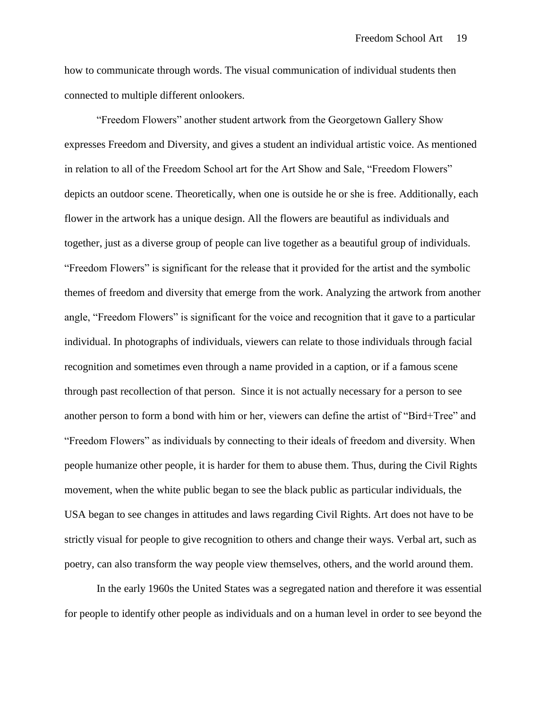how to communicate through words. The visual communication of individual students then connected to multiple different onlookers.

"Freedom Flowers" another student artwork from the Georgetown Gallery Show expresses Freedom and Diversity, and gives a student an individual artistic voice. As mentioned in relation to all of the Freedom School art for the Art Show and Sale, "Freedom Flowers" depicts an outdoor scene. Theoretically, when one is outside he or she is free. Additionally, each flower in the artwork has a unique design. All the flowers are beautiful as individuals and together, just as a diverse group of people can live together as a beautiful group of individuals. "Freedom Flowers" is significant for the release that it provided for the artist and the symbolic themes of freedom and diversity that emerge from the work. Analyzing the artwork from another angle, "Freedom Flowers" is significant for the voice and recognition that it gave to a particular individual. In photographs of individuals, viewers can relate to those individuals through facial recognition and sometimes even through a name provided in a caption, or if a famous scene through past recollection of that person. Since it is not actually necessary for a person to see another person to form a bond with him or her, viewers can define the artist of "Bird+Tree" and "Freedom Flowers" as individuals by connecting to their ideals of freedom and diversity. When people humanize other people, it is harder for them to abuse them. Thus, during the Civil Rights movement, when the white public began to see the black public as particular individuals, the USA began to see changes in attitudes and laws regarding Civil Rights. Art does not have to be strictly visual for people to give recognition to others and change their ways. Verbal art, such as poetry, can also transform the way people view themselves, others, and the world around them.

In the early 1960s the United States was a segregated nation and therefore it was essential for people to identify other people as individuals and on a human level in order to see beyond the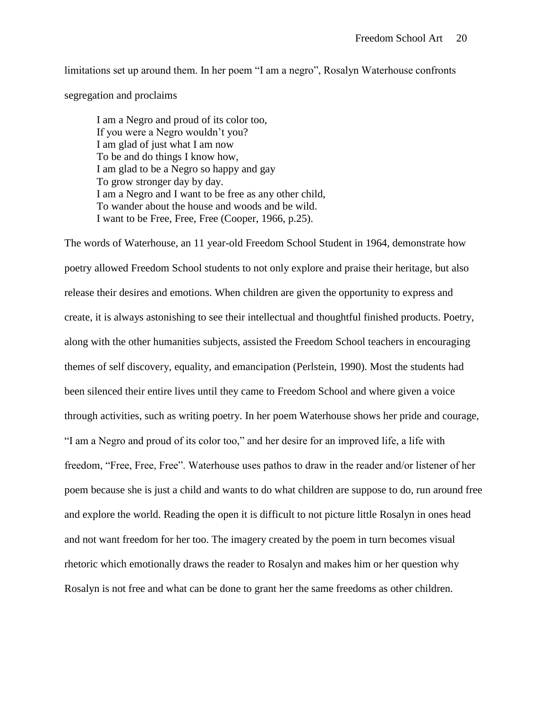limitations set up around them. In her poem "I am a negro", Rosalyn Waterhouse confronts segregation and proclaims

I am a Negro and proud of its color too, If you were a Negro wouldn"t you? I am glad of just what I am now To be and do things I know how, I am glad to be a Negro so happy and gay To grow stronger day by day. I am a Negro and I want to be free as any other child, To wander about the house and woods and be wild. I want to be Free, Free, Free (Cooper, 1966, p.25).

The words of Waterhouse, an 11 year-old Freedom School Student in 1964, demonstrate how poetry allowed Freedom School students to not only explore and praise their heritage, but also release their desires and emotions. When children are given the opportunity to express and create, it is always astonishing to see their intellectual and thoughtful finished products. Poetry, along with the other humanities subjects, assisted the Freedom School teachers in encouraging themes of self discovery, equality, and emancipation (Perlstein, 1990). Most the students had been silenced their entire lives until they came to Freedom School and where given a voice through activities, such as writing poetry. In her poem Waterhouse shows her pride and courage, "I am a Negro and proud of its color too," and her desire for an improved life, a life with freedom, "Free, Free, Free". Waterhouse uses pathos to draw in the reader and/or listener of her poem because she is just a child and wants to do what children are suppose to do, run around free and explore the world. Reading the open it is difficult to not picture little Rosalyn in ones head and not want freedom for her too. The imagery created by the poem in turn becomes visual rhetoric which emotionally draws the reader to Rosalyn and makes him or her question why Rosalyn is not free and what can be done to grant her the same freedoms as other children.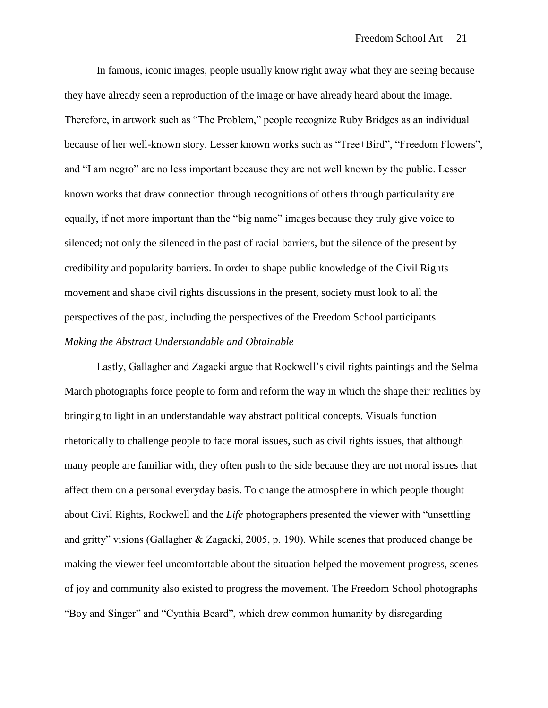In famous, iconic images, people usually know right away what they are seeing because they have already seen a reproduction of the image or have already heard about the image. Therefore, in artwork such as "The Problem," people recognize Ruby Bridges as an individual because of her well-known story. Lesser known works such as "Tree+Bird", "Freedom Flowers", and "I am negro" are no less important because they are not well known by the public. Lesser known works that draw connection through recognitions of others through particularity are equally, if not more important than the "big name" images because they truly give voice to silenced; not only the silenced in the past of racial barriers, but the silence of the present by credibility and popularity barriers. In order to shape public knowledge of the Civil Rights movement and shape civil rights discussions in the present, society must look to all the perspectives of the past, including the perspectives of the Freedom School participants. *Making the Abstract Understandable and Obtainable* 

Lastly, Gallagher and Zagacki argue that Rockwell's civil rights paintings and the Selma March photographs force people to form and reform the way in which the shape their realities by bringing to light in an understandable way abstract political concepts. Visuals function rhetorically to challenge people to face moral issues, such as civil rights issues, that although many people are familiar with, they often push to the side because they are not moral issues that affect them on a personal everyday basis. To change the atmosphere in which people thought about Civil Rights, Rockwell and the *Life* photographers presented the viewer with "unsettling and gritty" visions (Gallagher & Zagacki, 2005, p. 190). While scenes that produced change be making the viewer feel uncomfortable about the situation helped the movement progress, scenes of joy and community also existed to progress the movement. The Freedom School photographs "Boy and Singer" and "Cynthia Beard", which drew common humanity by disregarding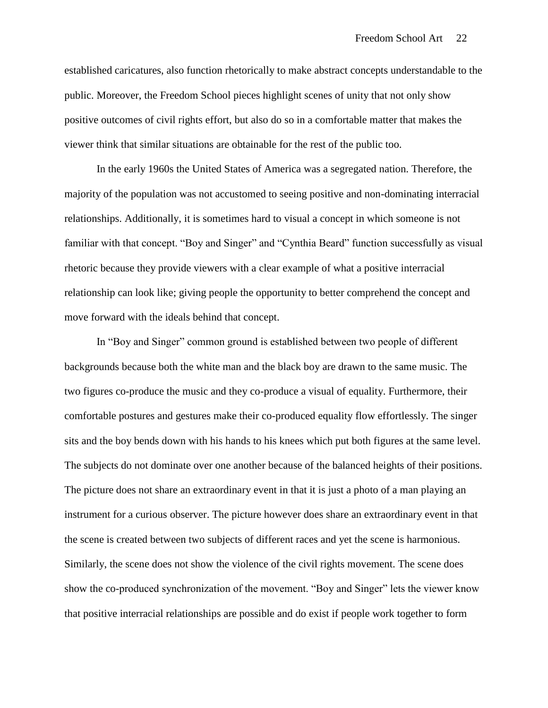established caricatures, also function rhetorically to make abstract concepts understandable to the public. Moreover, the Freedom School pieces highlight scenes of unity that not only show positive outcomes of civil rights effort, but also do so in a comfortable matter that makes the viewer think that similar situations are obtainable for the rest of the public too.

In the early 1960s the United States of America was a segregated nation. Therefore, the majority of the population was not accustomed to seeing positive and non-dominating interracial relationships. Additionally, it is sometimes hard to visual a concept in which someone is not familiar with that concept. "Boy and Singer" and "Cynthia Beard" function successfully as visual rhetoric because they provide viewers with a clear example of what a positive interracial relationship can look like; giving people the opportunity to better comprehend the concept and move forward with the ideals behind that concept.

In "Boy and Singer" common ground is established between two people of different backgrounds because both the white man and the black boy are drawn to the same music. The two figures co-produce the music and they co-produce a visual of equality. Furthermore, their comfortable postures and gestures make their co-produced equality flow effortlessly. The singer sits and the boy bends down with his hands to his knees which put both figures at the same level. The subjects do not dominate over one another because of the balanced heights of their positions. The picture does not share an extraordinary event in that it is just a photo of a man playing an instrument for a curious observer. The picture however does share an extraordinary event in that the scene is created between two subjects of different races and yet the scene is harmonious. Similarly, the scene does not show the violence of the civil rights movement. The scene does show the co-produced synchronization of the movement. "Boy and Singer" lets the viewer know that positive interracial relationships are possible and do exist if people work together to form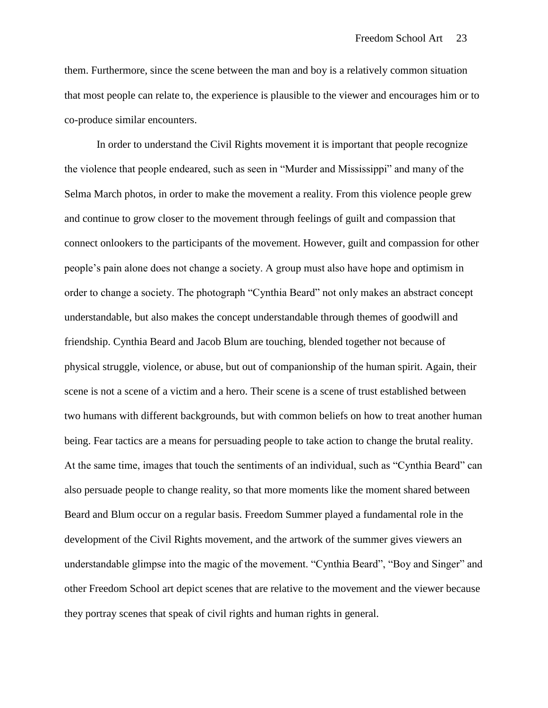them. Furthermore, since the scene between the man and boy is a relatively common situation that most people can relate to, the experience is plausible to the viewer and encourages him or to co-produce similar encounters.

In order to understand the Civil Rights movement it is important that people recognize the violence that people endeared, such as seen in "Murder and Mississippi" and many of the Selma March photos, in order to make the movement a reality. From this violence people grew and continue to grow closer to the movement through feelings of guilt and compassion that connect onlookers to the participants of the movement. However, guilt and compassion for other people"s pain alone does not change a society. A group must also have hope and optimism in order to change a society. The photograph "Cynthia Beard" not only makes an abstract concept understandable, but also makes the concept understandable through themes of goodwill and friendship. Cynthia Beard and Jacob Blum are touching, blended together not because of physical struggle, violence, or abuse, but out of companionship of the human spirit. Again, their scene is not a scene of a victim and a hero. Their scene is a scene of trust established between two humans with different backgrounds, but with common beliefs on how to treat another human being. Fear tactics are a means for persuading people to take action to change the brutal reality. At the same time, images that touch the sentiments of an individual, such as "Cynthia Beard" can also persuade people to change reality, so that more moments like the moment shared between Beard and Blum occur on a regular basis. Freedom Summer played a fundamental role in the development of the Civil Rights movement, and the artwork of the summer gives viewers an understandable glimpse into the magic of the movement. "Cynthia Beard", "Boy and Singer" and other Freedom School art depict scenes that are relative to the movement and the viewer because they portray scenes that speak of civil rights and human rights in general.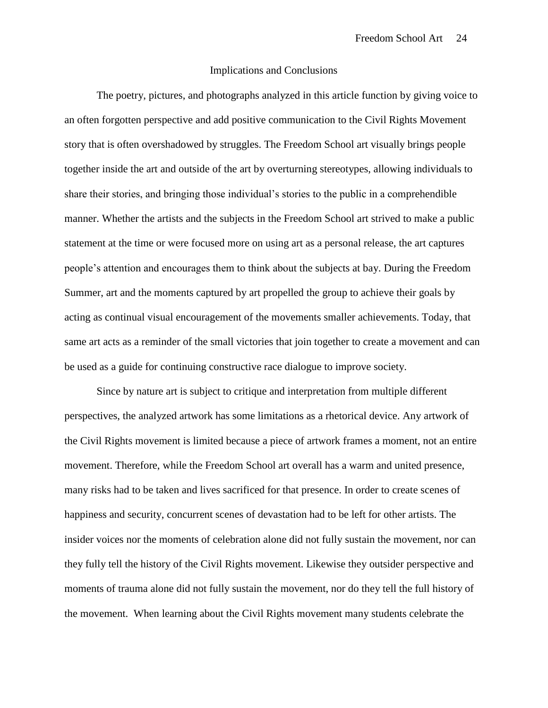#### Implications and Conclusions

The poetry, pictures, and photographs analyzed in this article function by giving voice to an often forgotten perspective and add positive communication to the Civil Rights Movement story that is often overshadowed by struggles. The Freedom School art visually brings people together inside the art and outside of the art by overturning stereotypes, allowing individuals to share their stories, and bringing those individual"s stories to the public in a comprehendible manner. Whether the artists and the subjects in the Freedom School art strived to make a public statement at the time or were focused more on using art as a personal release, the art captures people"s attention and encourages them to think about the subjects at bay. During the Freedom Summer, art and the moments captured by art propelled the group to achieve their goals by acting as continual visual encouragement of the movements smaller achievements. Today, that same art acts as a reminder of the small victories that join together to create a movement and can be used as a guide for continuing constructive race dialogue to improve society.

Since by nature art is subject to critique and interpretation from multiple different perspectives, the analyzed artwork has some limitations as a rhetorical device. Any artwork of the Civil Rights movement is limited because a piece of artwork frames a moment, not an entire movement. Therefore, while the Freedom School art overall has a warm and united presence, many risks had to be taken and lives sacrificed for that presence. In order to create scenes of happiness and security, concurrent scenes of devastation had to be left for other artists. The insider voices nor the moments of celebration alone did not fully sustain the movement, nor can they fully tell the history of the Civil Rights movement. Likewise they outsider perspective and moments of trauma alone did not fully sustain the movement, nor do they tell the full history of the movement. When learning about the Civil Rights movement many students celebrate the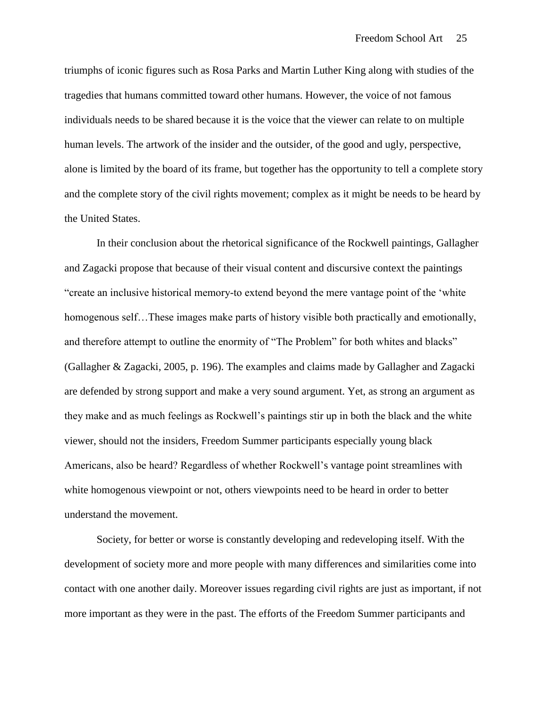triumphs of iconic figures such as Rosa Parks and Martin Luther King along with studies of the tragedies that humans committed toward other humans. However, the voice of not famous individuals needs to be shared because it is the voice that the viewer can relate to on multiple human levels. The artwork of the insider and the outsider, of the good and ugly, perspective, alone is limited by the board of its frame, but together has the opportunity to tell a complete story and the complete story of the civil rights movement; complex as it might be needs to be heard by the United States.

In their conclusion about the rhetorical significance of the Rockwell paintings, Gallagher and Zagacki propose that because of their visual content and discursive context the paintings "create an inclusive historical memory-to extend beyond the mere vantage point of the "white homogenous self...These images make parts of history visible both practically and emotionally, and therefore attempt to outline the enormity of "The Problem" for both whites and blacks" (Gallagher & Zagacki, 2005, p. 196). The examples and claims made by Gallagher and Zagacki are defended by strong support and make a very sound argument. Yet, as strong an argument as they make and as much feelings as Rockwell"s paintings stir up in both the black and the white viewer, should not the insiders, Freedom Summer participants especially young black Americans, also be heard? Regardless of whether Rockwell's vantage point streamlines with white homogenous viewpoint or not, others viewpoints need to be heard in order to better understand the movement.

Society, for better or worse is constantly developing and redeveloping itself. With the development of society more and more people with many differences and similarities come into contact with one another daily. Moreover issues regarding civil rights are just as important, if not more important as they were in the past. The efforts of the Freedom Summer participants and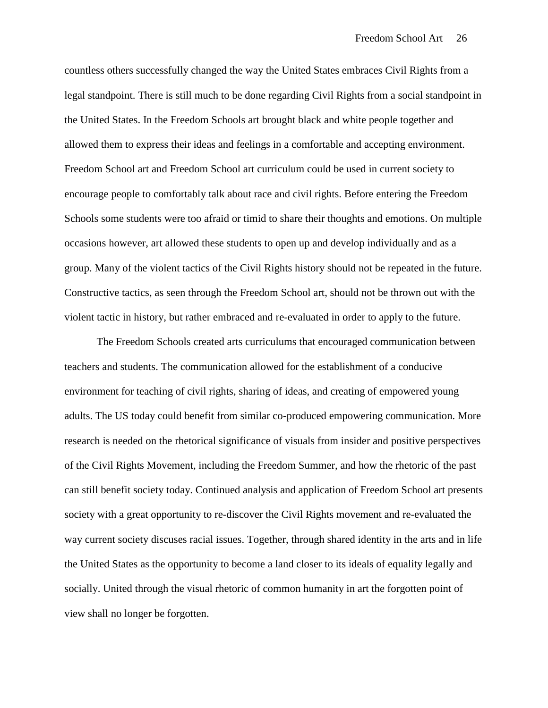countless others successfully changed the way the United States embraces Civil Rights from a legal standpoint. There is still much to be done regarding Civil Rights from a social standpoint in the United States. In the Freedom Schools art brought black and white people together and allowed them to express their ideas and feelings in a comfortable and accepting environment. Freedom School art and Freedom School art curriculum could be used in current society to encourage people to comfortably talk about race and civil rights. Before entering the Freedom Schools some students were too afraid or timid to share their thoughts and emotions. On multiple occasions however, art allowed these students to open up and develop individually and as a group. Many of the violent tactics of the Civil Rights history should not be repeated in the future. Constructive tactics, as seen through the Freedom School art, should not be thrown out with the violent tactic in history, but rather embraced and re-evaluated in order to apply to the future.

 The Freedom Schools created arts curriculums that encouraged communication between teachers and students. The communication allowed for the establishment of a conducive environment for teaching of civil rights, sharing of ideas, and creating of empowered young adults. The US today could benefit from similar co-produced empowering communication. More research is needed on the rhetorical significance of visuals from insider and positive perspectives of the Civil Rights Movement, including the Freedom Summer, and how the rhetoric of the past can still benefit society today. Continued analysis and application of Freedom School art presents society with a great opportunity to re-discover the Civil Rights movement and re-evaluated the way current society discuses racial issues. Together, through shared identity in the arts and in life the United States as the opportunity to become a land closer to its ideals of equality legally and socially. United through the visual rhetoric of common humanity in art the forgotten point of view shall no longer be forgotten.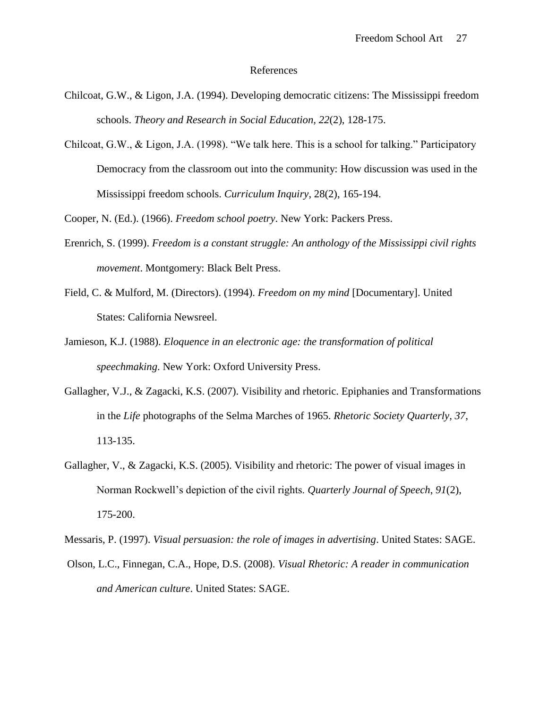#### References

- Chilcoat, G.W., & Ligon, J.A. (1994). Developing democratic citizens: The Mississippi freedom schools. *Theory and Research in Social Education, 22*(2), 128-175.
- Chilcoat, G.W., & Ligon, J.A. (1998). "We talk here. This is a school for talking." Participatory Democracy from the classroom out into the community: How discussion was used in the Mississippi freedom schools. *Curriculum Inquiry*, 28(2), 165-194.

Cooper, N. (Ed.). (1966). *Freedom school poetry*. New York: Packers Press.

- Erenrich, S. (1999). *Freedom is a constant struggle: An anthology of the Mississippi civil rights movement*. Montgomery: Black Belt Press.
- Field, C. & Mulford, M. (Directors). (1994). *Freedom on my mind* [Documentary]. United States: California Newsreel.
- Jamieson, K.J. (1988). *Eloquence in an electronic age: the transformation of political speechmaking*. New York: Oxford University Press.
- Gallagher, V.J., & Zagacki, K.S. (2007). Visibility and rhetoric. Epiphanies and Transformations in the *Life* photographs of the Selma Marches of 1965. *Rhetoric Society Quarterly, 37*, 113-135.
- Gallagher, V., & Zagacki, K.S. (2005). Visibility and rhetoric: The power of visual images in Norman Rockwell"s depiction of the civil rights. *Quarterly Journal of Speech*, *91*(2), 175-200.

Messaris, P. (1997). *Visual persuasion: the role of images in advertising*. United States: SAGE.

Olson, L.C., Finnegan, C.A., Hope, D.S. (2008). *Visual Rhetoric: A reader in communication and American culture*. United States: SAGE.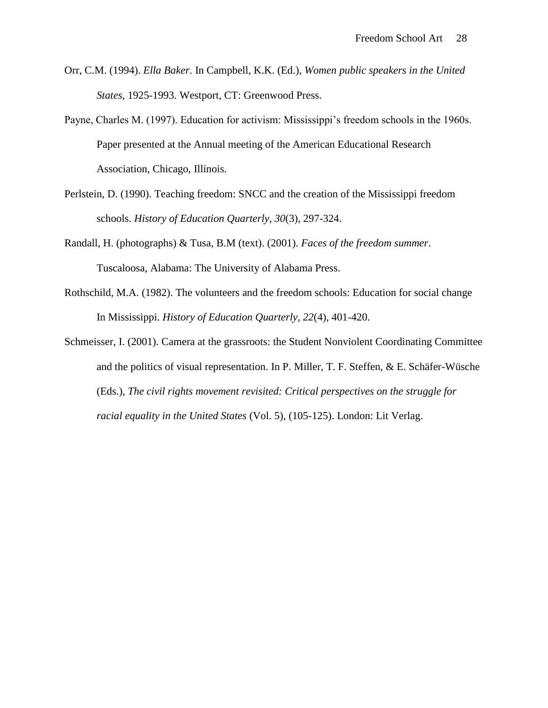- Orr, C.M. (1994). *Ella Baker*. In Campbell, K.K. (Ed.), *Women public speakers in the United States*, 1925-1993. Westport, CT: Greenwood Press.
- Payne, Charles M. (1997). Education for activism: Mississippi"s freedom schools in the 1960s. Paper presented at the Annual meeting of the American Educational Research Association, Chicago, Illinois.
- Perlstein, D. (1990). Teaching freedom: SNCC and the creation of the Mississippi freedom schools. *History of Education Quarterly, 30*(3), 297-324.
- Randall, H. (photographs) & Tusa, B.M (text). (2001). *Faces of the freedom summer*. Tuscaloosa, Alabama: The University of Alabama Press.
- Rothschild, M.A. (1982). The volunteers and the freedom schools: Education for social change In Mississippi. *History of Education Quarterly, 22*(4), 401-420.
- Schmeisser, I. (2001). Camera at the grassroots: the Student Nonviolent Coordinating Committee and the politics of visual representation. In P. Miller, T. F. Steffen, & E. Schäfer-Wüsche (Eds.), *The civil rights movement revisited: Critical perspectives on the struggle for racial equality in the United States* (Vol. 5), (105-125). London: Lit Verlag.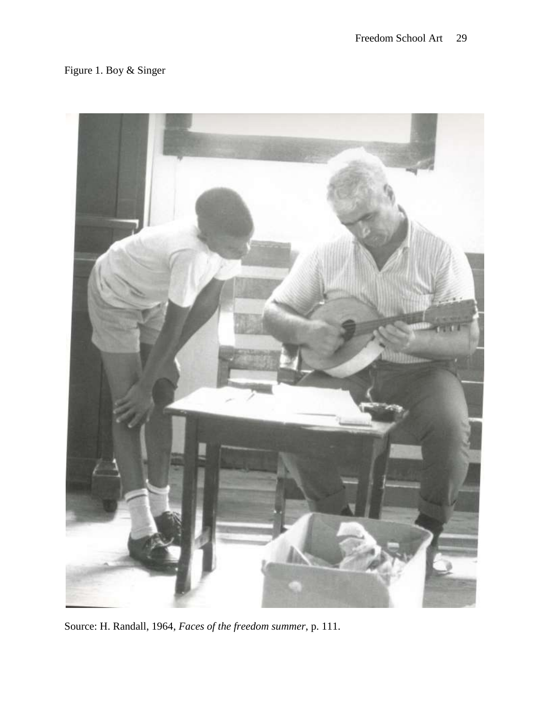# Figure 1. Boy & Singer



Source: H. Randall, 1964, *Faces of the freedom summer*, p. 111.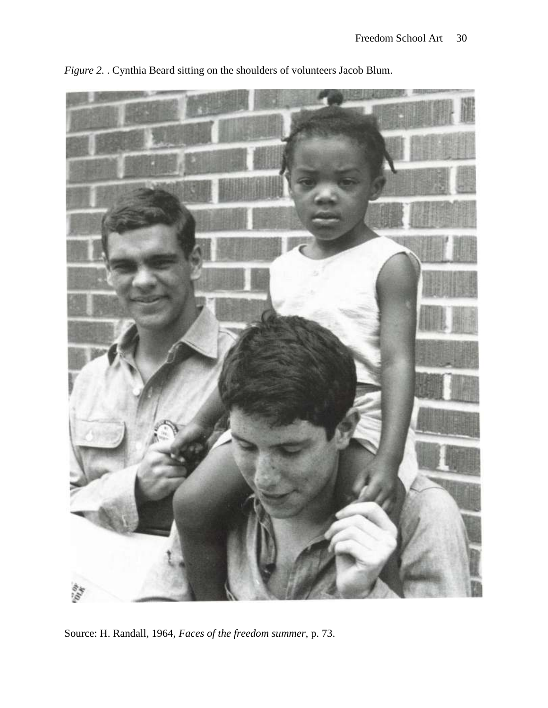

*Figure 2.* . Cynthia Beard sitting on the shoulders of volunteers Jacob Blum.

Source: H. Randall, 1964, *Faces of the freedom summer*, p. 73.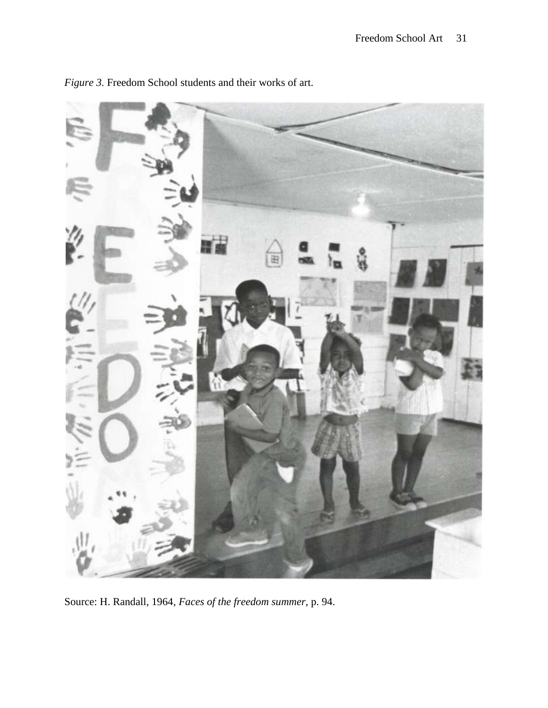

*Figure 3.* Freedom School students and their works of art.

Source: H. Randall, 1964, *Faces of the freedom summer*, p. 94.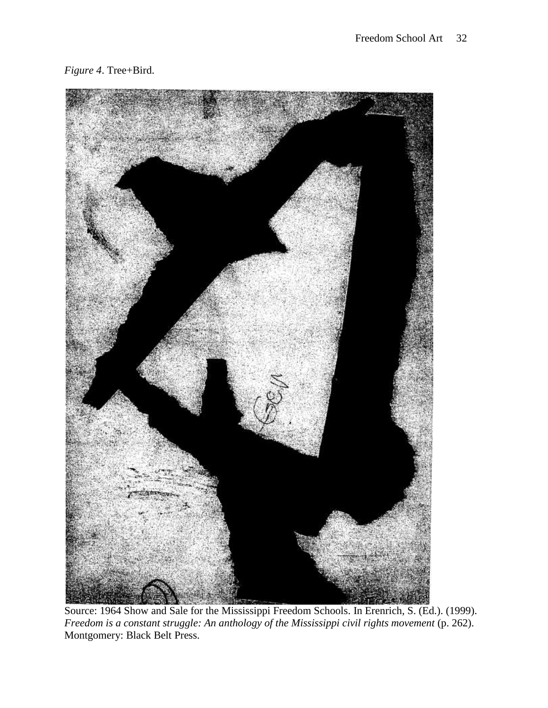

Source: 1964 Show and Sale for the Mississippi Freedom Schools. In Erenrich, S. (Ed.). (1999). *Freedom is a constant struggle: An anthology of the Mississippi civil rights movement* (p. 262). Montgomery: Black Belt Press.